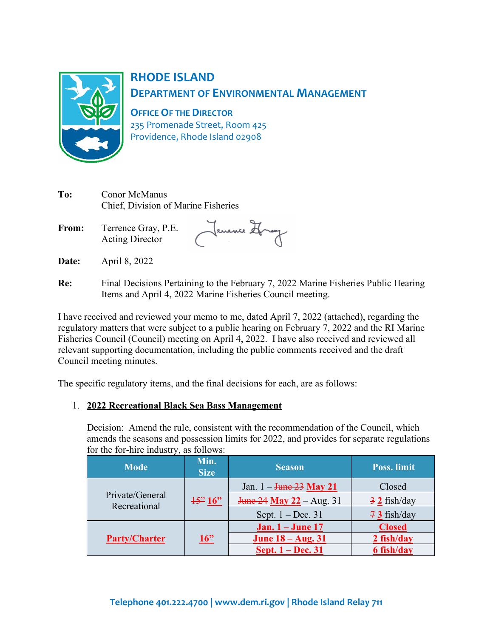

## **RHODE ISLAND DEPARTMENT OF ENVIRONMENTAL MANAGEMENT**

**OFFICE OF THE DIRECTOR**

235 Promenade Street, Room 425 Providence, Rhode Island 02908

| To:   | Conor McManus<br>Chief, Division of Marine Fisheries |            |
|-------|------------------------------------------------------|------------|
| From: | Terrence Gray, P.E.<br><b>Acting Director</b>        | Jenence St |

**Date:** April 8, 2022

**Re:** Final Decisions Pertaining to the February 7, 2022 Marine Fisheries Public Hearing Items and April 4, 2022 Marine Fisheries Council meeting.

I have received and reviewed your memo to me, dated April 7, 2022 (attached), regarding the regulatory matters that were subject to a public hearing on February 7, 2022 and the RI Marine Fisheries Council (Council) meeting on April 4, 2022. I have also received and reviewed all relevant supporting documentation, including the public comments received and the draft Council meeting minutes.

The specific regulatory items, and the final decisions for each, are as follows:

## 1. **2022 Recreational Black Sea Bass Management**

Decision: Amend the rule, consistent with the recommendation of the Council, which amends the seasons and possession limits for 2022, and provides for separate regulations for the for-hire industry, as follows:

| <b>Mode</b>                     | Min.<br><b>Size</b> | <b>Season</b>                                     | <b>Poss.</b> limit     |
|---------------------------------|---------------------|---------------------------------------------------|------------------------|
|                                 | $\frac{15}{2}$ 16"  | Jan. $1 - \frac{\text{June } 23}{\text{May } 21}$ | Closed                 |
| Private/General<br>Recreational |                     | <b>June 24 May 22</b> – Aug. 31                   | $\frac{3}{2}$ fish/day |
|                                 |                     | Sept. $1 - Dec. 31$                               | $73$ fish/day          |
|                                 |                     | <b>Jan.</b> 1 – <b>June</b> 17                    | <b>Closed</b>          |
| <b>Party/Charter</b>            | 16"                 | <b>June 18 – Aug. 31</b>                          | 2 fish/day             |
|                                 |                     | Sept. 1 – Dec. 31                                 | 6 fish/day             |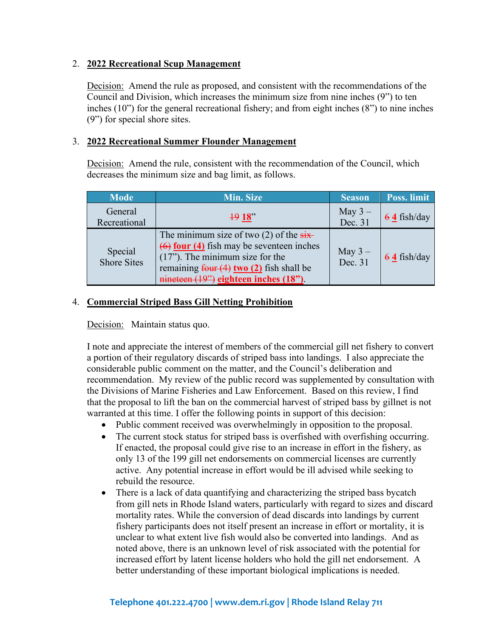#### 2. **2022 Recreational Scup Management**

Decision: Amend the rule as proposed, and consistent with the recommendations of the Council and Division, which increases the minimum size from nine inches (9") to ten inches (10") for the general recreational fishery; and from eight inches (8") to nine inches (9") for special shore sites.

#### 3. **2022 Recreational Summer Flounder Management**

Decision: Amend the rule, consistent with the recommendation of the Council, which decreases the minimum size and bag limit, as follows.

| <b>Mode</b>                   | Min. Size                                                                                                                                                                                                                                                                        | <b>Season</b>        | Poss. limit   |
|-------------------------------|----------------------------------------------------------------------------------------------------------------------------------------------------------------------------------------------------------------------------------------------------------------------------------|----------------------|---------------|
| General<br>Recreational       | 1918                                                                                                                                                                                                                                                                             | May $3-$<br>Dec. 31  | $64$ fish/day |
| Special<br><b>Shore Sites</b> | The minimum size of two $(2)$ of the $\frac{1}{\text{six}}$<br>$\overline{(6)}$ four (4) fish may be seventeen inches<br>$(17)$ . The minimum size for the<br>remaining $\frac{\text{four (4) two (2)}}{\text{f}}$ fish shall be<br>$m$ mineteen $(19)$ eighteen inches $(18)$ . | May $3 -$<br>Dec. 31 | $64$ fish/day |

#### 4. **Commercial Striped Bass Gill Netting Prohibition**

Decision: Maintain status quo.

I note and appreciate the interest of members of the commercial gill net fishery to convert a portion of their regulatory discards of striped bass into landings. I also appreciate the considerable public comment on the matter, and the Council's deliberation and recommendation. My review of the public record was supplemented by consultation with the Divisions of Marine Fisheries and Law Enforcement. Based on this review, I find that the proposal to lift the ban on the commercial harvest of striped bass by gillnet is not warranted at this time. I offer the following points in support of this decision:

- Public comment received was overwhelmingly in opposition to the proposal.
- The current stock status for striped bass is overfished with overfishing occurring. If enacted, the proposal could give rise to an increase in effort in the fishery, as only 13 of the 199 gill net endorsements on commercial licenses are currently active. Any potential increase in effort would be ill advised while seeking to rebuild the resource.
- There is a lack of data quantifying and characterizing the striped bass bycatch from gill nets in Rhode Island waters, particularly with regard to sizes and discard mortality rates. While the conversion of dead discards into landings by current fishery participants does not itself present an increase in effort or mortality, it is unclear to what extent live fish would also be converted into landings. And as noted above, there is an unknown level of risk associated with the potential for increased effort by latent license holders who hold the gill net endorsement. A better understanding of these important biological implications is needed.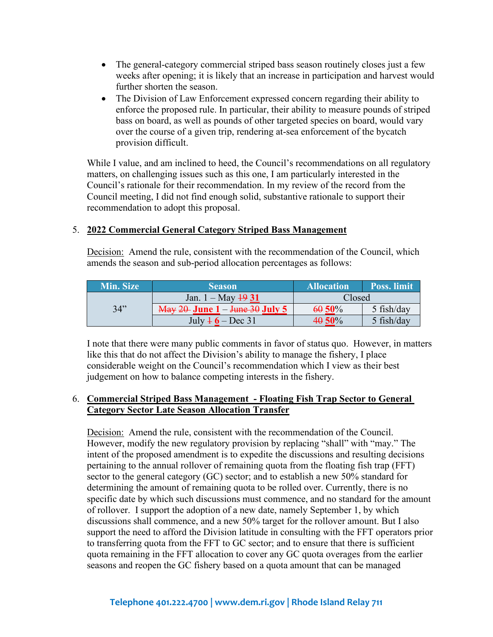- The general-category commercial striped bass season routinely closes just a few weeks after opening; it is likely that an increase in participation and harvest would further shorten the season.
- The Division of Law Enforcement expressed concern regarding their ability to enforce the proposed rule. In particular, their ability to measure pounds of striped bass on board, as well as pounds of other targeted species on board, would vary over the course of a given trip, rendering at-sea enforcement of the bycatch provision difficult.

While I value, and am inclined to heed, the Council's recommendations on all regulatory matters, on challenging issues such as this one, I am particularly interested in the Council's rationale for their recommendation. In my review of the record from the Council meeting, I did not find enough solid, substantive rationale to support their recommendation to adopt this proposal.

#### 5. **2022 Commercial General Category Striped Bass Management**

Decision: Amend the rule, consistent with the recommendation of the Council, which amends the season and sub-period allocation percentages as follows:

| Min. Size | <b>Season</b>                                                    | <b>Allocation</b> | <b>Poss.</b> limit |
|-----------|------------------------------------------------------------------|-------------------|--------------------|
|           | Jan. $1 - May \frac{19}{31}$                                     | Closed            |                    |
| 34"       | $\frac{\text{May }20\text{-}$ June 1 – <del>June 30</del> July 5 | 60 50%            | $5$ fish/day       |
|           | July $46 - Dec 31$                                               | $40.50\%$         | 5 fish/day         |

I note that there were many public comments in favor of status quo. However, in matters like this that do not affect the Division's ability to manage the fishery, I place considerable weight on the Council's recommendation which I view as their best judgement on how to balance competing interests in the fishery.

#### 6. **Commercial Striped Bass Management - Floating Fish Trap Sector to General Category Sector Late Season Allocation Transfer**

Decision: Amend the rule, consistent with the recommendation of the Council. However, modify the new regulatory provision by replacing "shall" with "may." The intent of the proposed amendment is to expedite the discussions and resulting decisions pertaining to the annual rollover of remaining quota from the floating fish trap (FFT) sector to the general category (GC) sector; and to establish a new 50% standard for determining the amount of remaining quota to be rolled over. Currently, there is no specific date by which such discussions must commence, and no standard for the amount of rollover. I support the adoption of a new date, namely September 1, by which discussions shall commence, and a new 50% target for the rollover amount. But I also support the need to afford the Division latitude in consulting with the FFT operators prior to transferring quota from the FFT to GC sector; and to ensure that there is sufficient quota remaining in the FFT allocation to cover any GC quota overages from the earlier seasons and reopen the GC fishery based on a quota amount that can be managed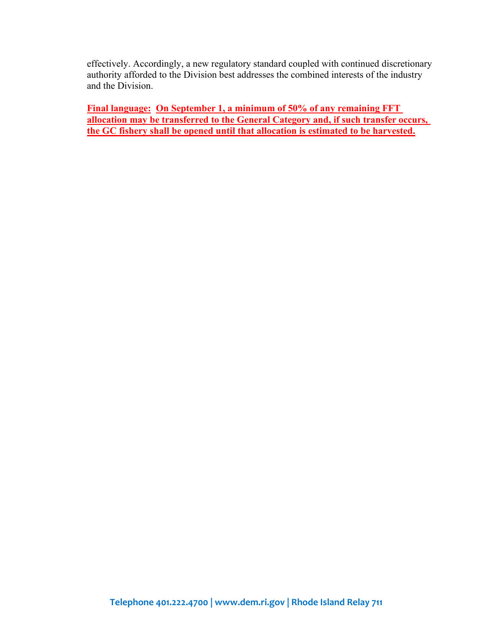effectively. Accordingly, a new regulatory standard coupled with continued discretionary authority afforded to the Division best addresses the combined interests of the industry and the Division.

**Final language: On September 1, a minimum of 50% of any remaining FFT allocation may be transferred to the General Category and, if such transfer occurs, the GC fishery shall be opened until that allocation is estimated to be harvested.**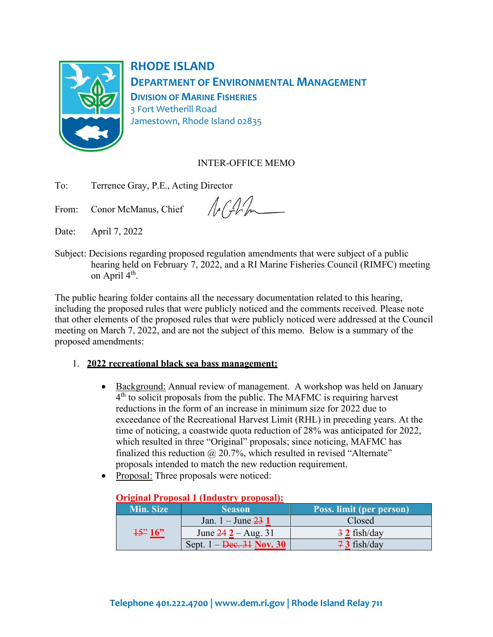

**RHODE ISLAND DEPARTMENT OF ENVIRONMENTAL MANAGEMENT DIVISION OF MARINE FISHERIES** 3 Fort Wetherill Road Jamestown, Rhode Island 02835

## INTER-OFFICE MEMO

To: Terrence Gray, P.E., Acting Director

From: Conor McManus, Chief

 $NGM$ 

Date: April 7, 2022

Subject: Decisions regarding proposed regulation amendments that were subject of a public hearing held on February 7, 2022, and a RI Marine Fisheries Council (RIMFC) meeting on April 4<sup>th</sup>.

The public hearing folder contains all the necessary documentation related to this hearing, including the proposed rules that were publicly noticed and the comments received. Please note that other elements of the proposed rules that were publicly noticed were addressed at the Council meeting on March 7, 2022, and are not the subject of this memo.Below is a summary of the proposed amendments:

## 1. **2022 recreational black sea bass management:**

- Background: Annual review of management. A workshop was held on January  $4<sup>th</sup>$  to solicit proposals from the public. The MAFMC is requiring harvest reductions in the form of an increase in minimum size for 2022 due to exceedance of the Recreational Harvest Limit (RHL) in preceding years. At the time of noticing, a coastwide quota reduction of 28% was anticipated for 2022, which resulted in three "Original" proposals; since noticing, MAFMC has finalized this reduction  $\omega$  20.7%, which resulted in revised "Alternate" proposals intended to match the new reduction requirement.
- Proposal: Three proposals were noticed:

|                      | $\sigma$ , $\sigma$ , $\sigma$ , $\sigma$ , $\sigma$ , $\sigma$ , $\sigma$ , $\sigma$ , $\sigma$ , $\sigma$ , $\sigma$ , $\sigma$ , $\sigma$ , $\sigma$ , $\sigma$ , $\sigma$ , $\sigma$ , $\sigma$ , $\sigma$ , $\sigma$ , $\sigma$ , $\sigma$ , $\sigma$ , $\sigma$ , $\sigma$ , $\sigma$ , $\sigma$ , $\sigma$ , $\sigma$ , $\sigma$ , $\sigma$ , $\sigma$ |                          |  |  |  |
|----------------------|---------------------------------------------------------------------------------------------------------------------------------------------------------------------------------------------------------------------------------------------------------------------------------------------------------------------------------------------------------------|--------------------------|--|--|--|
| Min. Size            | <b>Season</b>                                                                                                                                                                                                                                                                                                                                                 | Poss. limit (per person) |  |  |  |
|                      | Jan. $1 -$ June $231$                                                                                                                                                                                                                                                                                                                                         | Closed                   |  |  |  |
| $\frac{15^{22}}{16}$ | June $242 - Aug. 31$                                                                                                                                                                                                                                                                                                                                          | $\frac{3}{2}$ fish/day   |  |  |  |
|                      | Sept. $1 - \text{Dec.} 31 \text{ Nov.} 30$                                                                                                                                                                                                                                                                                                                    | $73$ fish/day            |  |  |  |

## **Original Proposal 1 (Industry proposal):**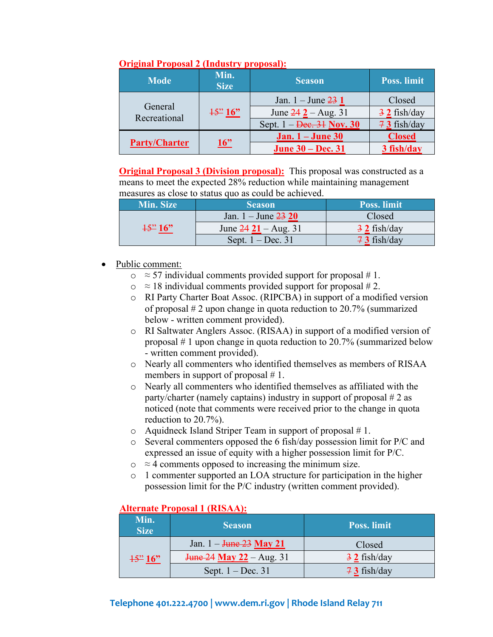| <b>Mode</b>             | Min.<br><b>Size</b>  | <b>Season</b>                              | <b>Poss. limit</b>     |
|-------------------------|----------------------|--------------------------------------------|------------------------|
|                         | $\frac{15^{22}}{16}$ | Jan. $1 -$ June $231$                      | Closed                 |
| General<br>Recreational |                      | June $242 - Aug. 31$                       | $\frac{3}{2}$ fish/day |
|                         |                      | Sept. $1 - \text{Dec.} 31 \text{ Nov.} 30$ | $73$ fish/day          |
|                         | 16"                  | Jan. $1 -$ June 30                         | <b>Closed</b>          |
| <b>Party/Charter</b>    |                      | <b>June 30 – Dec. 31</b>                   | 3 fish/day             |

#### **Original Proposal 2 (Industry proposal):**

**Original Proposal 3 (Division proposal):** This proposal was constructed as a means to meet the expected 28% reduction while maintaining management measures as close to status quo as could be achieved.

| Min. Size                 | <b>Season</b>           | <b>Poss.</b> limit     |
|---------------------------|-------------------------|------------------------|
|                           | Jan. $1 -$ June $23 20$ | Closed                 |
| $\frac{15^{22}}{16^{22}}$ | June $24 21 - Aug. 31$  | $\frac{3}{2}$ fish/day |
|                           | Sept. $1 - Dec. 31$     | $73$ fish/day          |

- Public comment:
	- $\circ$  ≈ 57 individual comments provided support for proposal # 1.
	- $\circ$  ≈ 18 individual comments provided support for proposal #2.
	- o RI Party Charter Boat Assoc. (RIPCBA) in support of a modified version of proposal # 2 upon change in quota reduction to 20.7% (summarized below - written comment provided).
	- o RI Saltwater Anglers Assoc. (RISAA) in support of a modified version of proposal # 1 upon change in quota reduction to 20.7% (summarized below - written comment provided).
	- o Nearly all commenters who identified themselves as members of RISAA members in support of proposal #1.
	- o Nearly all commenters who identified themselves as affiliated with the party/charter (namely captains) industry in support of proposal # 2 as noticed (note that comments were received prior to the change in quota reduction to 20.7%).
	- $\circ$  Aquidneck Island Striper Team in support of proposal #1.
	- o Several commenters opposed the 6 fish/day possession limit for P/C and expressed an issue of equity with a higher possession limit for P/C.
	- $\circ$  ≈ 4 comments opposed to increasing the minimum size.
	- o 1 commenter supported an LOA structure for participation in the higher possession limit for the P/C industry (written comment provided).

# **Alternate Proposal 1 (RISAA):**

| Min.<br><b>Size</b>      | <b>Season</b>                                     | Poss. limit            |
|--------------------------|---------------------------------------------------|------------------------|
| $\frac{15^{22}}{16^{2}}$ | Jan. $1 - \frac{\text{June } 23}{\text{May } 21}$ | Closed                 |
|                          | $\frac{1}{24}$ May 22 – Aug. 31                   | $\frac{3}{2}$ fish/day |
|                          | Sept. $1 - Dec. 31$                               | $73$ fish/day          |

## **Telephone 401.222.4700 [| www.dem.ri.gov |](http://www.dem.ri.gov/) Rhode Island Relay 711**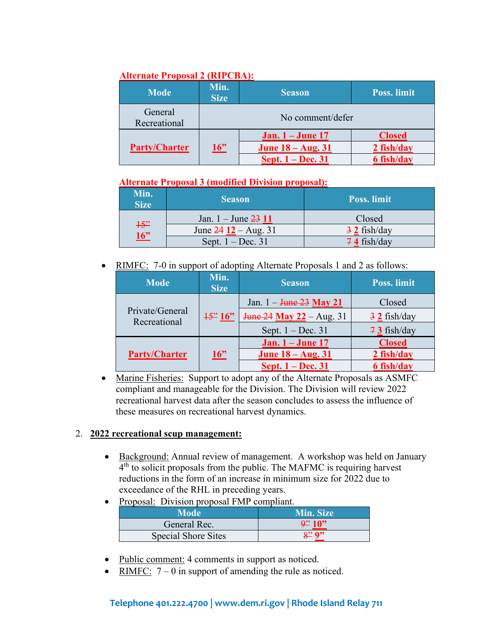## **Alternate Proposal 2 (RIPCBA):**

| <b>Mode</b>             | Min.<br><b>Size</b> | <b>Season</b>                  | <b>Poss.</b> limit |
|-------------------------|---------------------|--------------------------------|--------------------|
| General<br>Recreational | No comment/defer    |                                |                    |
|                         |                     | <b>Jan.</b> 1 – <b>June</b> 17 | <b>Closed</b>      |
| <b>Party/Charter</b>    | $\underline{16"}$   | <b>June 18 – Aug. 31</b>       | $2$ fish/day       |
|                         |                     | Sept. 1 – Dec. 31              | 6 fish/day         |

## **Alternate Proposal 3 (modified Division proposal):**

| Min.<br><b>Size</b> | <b>Season</b>           | <b>Poss.</b> limit     |
|---------------------|-------------------------|------------------------|
|                     | Jan. $1 -$ June $23$ 11 | Closed                 |
| $+5$ "<br>16        | June $24 12 - Aug. 31$  | $\frac{3}{2}$ fish/day |
|                     | Sept. $1 - Dec. 31$     | $74$ fish/day          |

• RIMFC: 7-0 in support of adopting Alternate Proposals 1 and 2 as follows:

| <b>Mode</b>                     | Min.<br><b>Size</b>  | <b>Season</b>                                     | <b>Poss. limit</b>     |
|---------------------------------|----------------------|---------------------------------------------------|------------------------|
|                                 |                      | Jan. $1 - \frac{\text{June } 23}{\text{May } 21}$ | Closed                 |
| Private/General<br>Recreational | $\frac{15^{22}}{16}$ | <b>June 24 May 22</b> – Aug. 31                   | $\frac{3}{2}$ fish/day |
|                                 |                      | Sept. $1 - Dec. 31$                               | $73$ fish/day          |
|                                 |                      | <b>Jan.</b> 1 – <b>June</b> 17                    | <b>Closed</b>          |
| <b>Party/Charter</b>            | 16"                  | <b>June 18 – Aug. 31</b>                          | 2 fish/day             |
|                                 |                      | Sept. 1 – Dec. 31                                 | 6 fish/day             |

• Marine Fisheries: Support to adopt any of the Alternate Proposals as ASMFC compliant and manageable for the Division. The Division will review 2022 recreational harvest data after the season concludes to assess the influence of these measures on recreational harvest dynamics.

## 2. **2022 recreational scup management:**

- Background: Annual review of management. A workshop was held on January  $4<sup>th</sup>$  to solicit proposals from the public. The MAFMC is requiring harvest reductions in the form of an increase in minimum size for 2022 due to exceedance of the RHL in preceding years.
- Proposal: Division proposal FMP compliant.

| Mode                       | Min. Size                      |
|----------------------------|--------------------------------|
| General Rec.               | $\frac{94}{2}$ 10 <sup>9</sup> |
| <b>Special Shore Sites</b> | <u> ຊ"</u> ດ"                  |

- Public comment: 4 comments in support as noticed.
- RIMFC:  $7 0$  in support of amending the rule as noticed.

## **Telephone 401.222.4700 [| www.dem.ri.gov |](http://www.dem.ri.gov/) Rhode Island Relay 711**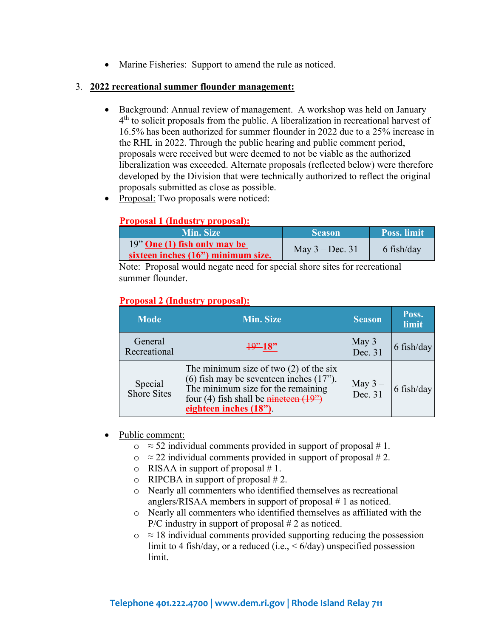• Marine Fisheries: Support to amend the rule as noticed.

#### 3. **2022 recreational summer flounder management:**

- Background: Annual review of management. A workshop was held on January  $4<sup>th</sup>$  to solicit proposals from the public. A liberalization in recreational harvest of 16.5% has been authorized for summer flounder in 2022 due to a 25% increase in the RHL in 2022. Through the public hearing and public comment period, proposals were received but were deemed to not be viable as the authorized liberalization was exceeded. Alternate proposals (reflected below) were therefore developed by the Division that were technically authorized to reflect the original proposals submitted as close as possible.
- Proposal: Two proposals were noticed:

## **Proposal 1 (Industry proposal):**

| <b>Min. Size</b>                                                     | <b>Season</b>     | Poss. limit |
|----------------------------------------------------------------------|-------------------|-------------|
| $19"$ One (1) fish only may be<br>sixteen inches (16") minimum size. | May $3 - Dec. 31$ | 6 fish/day  |

Note: Proposal would negate need for special shore sites for recreational summer flounder.

#### **Proposal 2 (Industry proposal):**

| <b>Mode</b>                   | <b>Min. Size</b>                                                                                                                                                                                          | <b>Season</b>        | Poss.<br>limit |
|-------------------------------|-----------------------------------------------------------------------------------------------------------------------------------------------------------------------------------------------------------|----------------------|----------------|
| General<br>Recreational       | $\frac{19"}{18"$                                                                                                                                                                                          | May $3 -$<br>Dec. 31 | 6 fish/day     |
| Special<br><b>Shore Sites</b> | The minimum size of two $(2)$ of the six<br>$(6)$ fish may be seventeen inches $(17)$ .<br>The minimum size for the remaining<br>four (4) fish shall be <i>nineteen</i> $(19")$<br>eighteen inches (18"). | May $3 -$<br>Dec. 31 | 6 fish/day     |

- Public comment:
	- $\circ$  ≈ 52 individual comments provided in support of proposal # 1.
	- $\circ$   $\approx$  22 individual comments provided in support of proposal #2.
	- $\circ$  RISAA in support of proposal # 1.
	- $\circ$  RIPCBA in support of proposal #2.
	- o Nearly all commenters who identified themselves as recreational anglers/RISAA members in support of proposal # 1 as noticed.
	- o Nearly all commenters who identified themselves as affiliated with the P/C industry in support of proposal  $# 2$  as noticed.
	- $\circ$   $\approx$  18 individual comments provided supporting reducing the possession limit to 4 fish/day, or a reduced (i.e.,  $\leq 6$ /day) unspecified possession limit.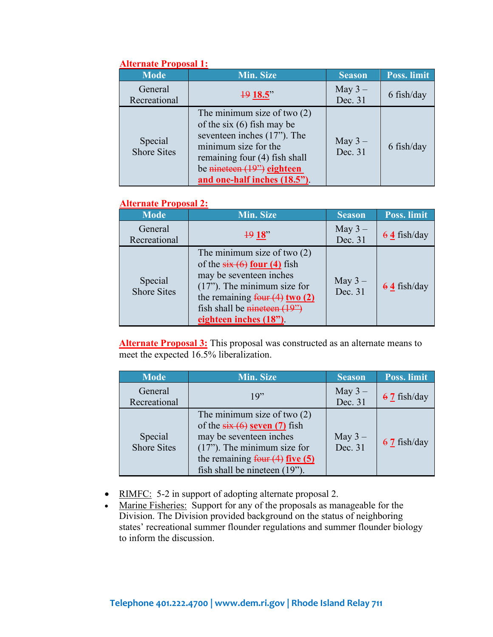| <i><b>THRU HARV I TOPOSAL 1.</b></i><br><b>Mode</b> | Min. Size                                                                                                                                                                                                                 | <b>Season</b>       | Poss. limit |
|-----------------------------------------------------|---------------------------------------------------------------------------------------------------------------------------------------------------------------------------------------------------------------------------|---------------------|-------------|
| General<br>Recreational                             | $\frac{19}{18.5}$                                                                                                                                                                                                         | May $3-$<br>Dec. 31 | 6 fish/day  |
| Special<br><b>Shore Sites</b>                       | The minimum size of two $(2)$<br>of the six $(6)$ fish may be<br>seventeen inches $(17)$ . The<br>minimum size for the<br>remaining four (4) fish shall<br>be $n$ ineteen $(19)$ eighteen<br>and one-half inches (18.5"). | May $3-$<br>Dec. 31 | 6 fish/day  |

## **Alternate Proposal 1:**

#### **Alternate Proposal 2:**

| <b>Mode</b>                   | <b>Min. Size</b>                                                                                                                                                                                                                       | <b>Season</b>       | Poss. limit   |
|-------------------------------|----------------------------------------------------------------------------------------------------------------------------------------------------------------------------------------------------------------------------------------|---------------------|---------------|
| General<br>Recreational       | 1918"                                                                                                                                                                                                                                  | May $3-$<br>Dec. 31 | $64$ fish/day |
| Special<br><b>Shore Sites</b> | The minimum size of two $(2)$<br>of the $six(6)$ four (4) fish<br>may be seventeen inches<br>$(17")$ . The minimum size for<br>the remaining $f_{\text{out}}(4)$ two (2)<br>fish shall be $n$ ineter $(19")$<br>eighteen inches (18"). | May $3-$<br>Dec. 31 | $64$ fish/day |

**Alternate Proposal 3:** This proposal was constructed as an alternate means to meet the expected 16.5% liberalization.

| <b>Mode</b>                   | Min. Size                                                                                                                                                                                                                     | <b>Season</b>       | <b>Poss. limit</b> |
|-------------------------------|-------------------------------------------------------------------------------------------------------------------------------------------------------------------------------------------------------------------------------|---------------------|--------------------|
| General                       | 19"                                                                                                                                                                                                                           | May $3-$            | $67$ fish/day      |
| Recreational                  |                                                                                                                                                                                                                               | Dec. 31             |                    |
| Special<br><b>Shore Sites</b> | The minimum size of two $(2)$<br>of the $six(6)$ seven (7) fish<br>may be seventeen inches<br>$(17")$ . The minimum size for<br>the remaining $\frac{\text{four (4) five (5)}}{\text{five}}$<br>fish shall be nineteen (19"). | May $3-$<br>Dec. 31 | $67$ fish/day      |

- RIMFC: 5-2 in support of adopting alternate proposal 2.
- Marine Fisheries: Support for any of the proposals as manageable for the Division. The Division provided background on the status of neighboring states' recreational summer flounder regulations and summer flounder biology to inform the discussion.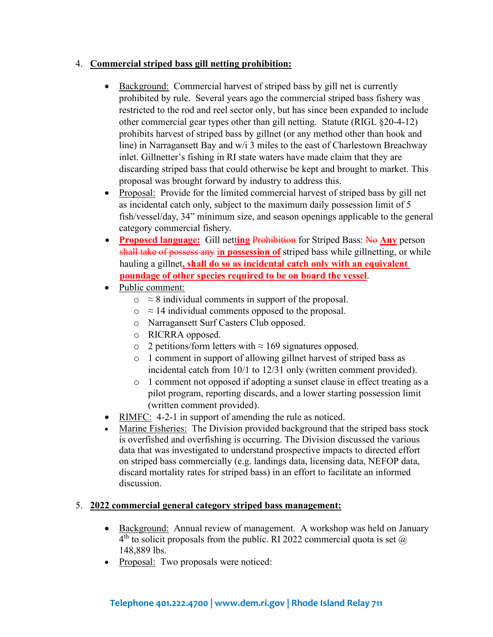## 4. **Commercial striped bass gill netting prohibition:**

- Background: Commercial harvest of striped bass by gill net is currently prohibited by rule. Several years ago the commercial striped bass fishery was restricted to the rod and reel sector only, but has since been expanded to include other commercial gear types other than gill netting. Statute (RIGL §20-4-12) prohibits harvest of striped bass by gillnet (or any method other than hook and line) in Narragansett Bay and w/i 3 miles to the east of Charlestown Breachway inlet. Gillnetter's fishing in RI state waters have made claim that they are discarding striped bass that could otherwise be kept and brought to market. This proposal was brought forward by industry to address this.
- Proposal: Provide for the limited commercial harvest of striped bass by gill net as incidental catch only, subject to the maximum daily possession limit of 5 fish/vessel/day, 34" minimum size, and season openings applicable to the general category commercial fishery.
- **Proposed language:** Gill netting Prohibition for Striped Bass: No Any person shall take of possess any i**n possession of** striped bass while gillnetting, or while hauling a gillnet**, shall do so as incidental catch only with an equivalent poundage of other species required to be on board the vessel**.
- Public comment:
	- $\circ$  ≈ 8 individual comments in support of the proposal.
	- $\circ$   $\approx$  14 individual comments opposed to the proposal.
	- o Narragansett Surf Casters Club opposed.
	- o RICRRA opposed.
	- $\circ$  2 petitions/form letters with  $\approx 169$  signatures opposed.
	- o 1 comment in support of allowing gillnet harvest of striped bass as incidental catch from 10/1 to 12/31 only (written comment provided).
	- o 1 comment not opposed if adopting a sunset clause in effect treating as a pilot program, reporting discards, and a lower starting possession limit (written comment provided).
- RIMFC: 4-2-1 in support of amending the rule as noticed.
- Marine Fisheries: The Division provided background that the striped bass stock is overfished and overfishing is occurring. The Division discussed the various data that was investigated to understand prospective impacts to directed effort on striped bass commercially (e.g. landings data, licensing data, NEFOP data, discard mortality rates for striped bass) in an effort to facilitate an informed discussion.

## 5. **2022 commercial general category striped bass management:**

- Background: Annual review of management. A workshop was held on January  $4<sup>th</sup>$  to solicit proposals from the public. RI 2022 commercial quota is set  $@$ 148,889 lbs.
- Proposal: Two proposals were noticed: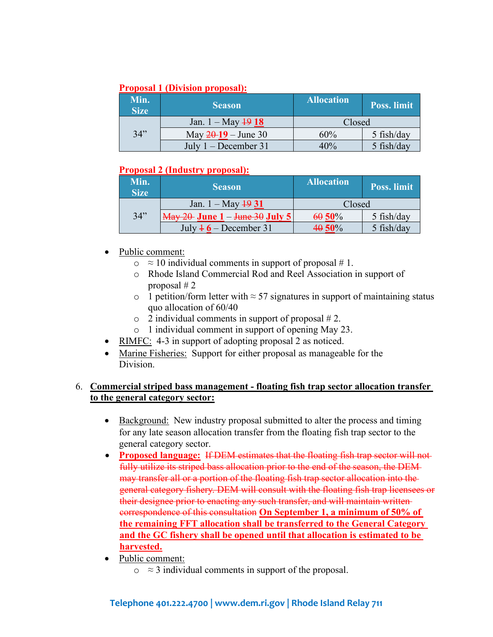#### **Proposal 1 (Division proposal):**

| Min.<br><b>Size</b> | <b>Season</b>                | <b>Allocation</b> | <b>Poss.</b> limit |
|---------------------|------------------------------|-------------------|--------------------|
|                     | Jan. $1 - May \frac{19}{18}$ | Closed            |                    |
| 34"                 | May $20-19$ – June 30        | 60%               | $5$ fish/day       |
|                     | July $1 - December 31$       | 40%               | 5 fish/day         |

## **Proposal 2 (Industry proposal):**

| Min.<br><b>Size</b> | <b>Season</b>                                                               | <b>Allocation</b> | Poss. limit  |
|---------------------|-----------------------------------------------------------------------------|-------------------|--------------|
|                     | Jan. $1 - May \frac{19}{31}$                                                | Closed            |              |
| 34"                 | $\frac{\text{May }20\text{ June }1 - \text{June }30\text{ July }5\text{ ]}$ | 6050%             | $5$ fish/day |
|                     | July $46$ – December 31                                                     | 40 50%            | 5 fish/day   |

- Public comment:
	- $\circ$   $\approx$  10 individual comments in support of proposal # 1.
	- o Rhode Island Commercial Rod and Reel Association in support of proposal # 2
	- o 1 petition/form letter with  $\approx$  57 signatures in support of maintaining status quo allocation of 60/40
	- $\circ$  2 individual comments in support of proposal #2.
	- o 1 individual comment in support of opening May 23.
- RIMFC: 4-3 in support of adopting proposal 2 as noticed.
- Marine Fisheries: Support for either proposal as manageable for the Division.

## 6. **Commercial striped bass management - floating fish trap sector allocation transfer to the general category sector:**

- Background: New industry proposal submitted to alter the process and timing for any late season allocation transfer from the floating fish trap sector to the general category sector.
- **Proposed language:** If DEM estimates that the floating fish trap sector will not fully utilize its striped bass allocation prior to the end of the season, the DEM may transfer all or a portion of the floating fish trap sector allocation into the general category fishery. DEM will consult with the floating fish trap licensees or their designee prior to enacting any such transfer, and will maintain written correspondence of this consultation **On September 1, a minimum of 50% of the remaining FFT allocation shall be transferred to the General Category and the GC fishery shall be opened until that allocation is estimated to be harvested.**
- Public comment:
	- $\circ$   $\approx$  3 individual comments in support of the proposal.

## **Telephone 401.222.4700 [| www.dem.ri.gov |](http://www.dem.ri.gov/) Rhode Island Relay 711**